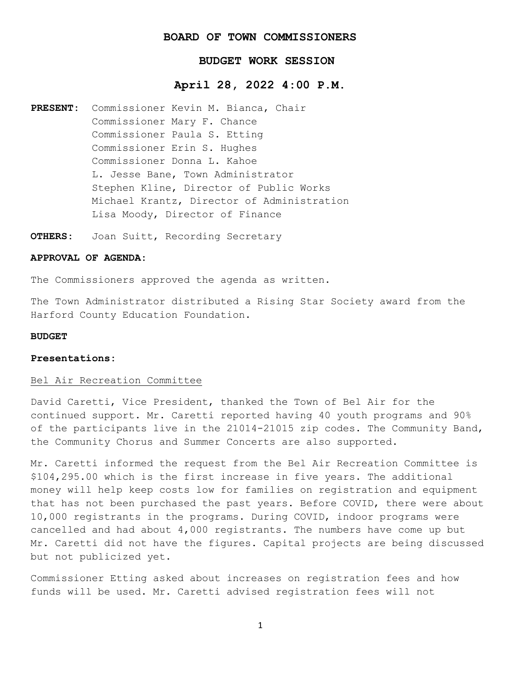# **BOARD OF TOWN COMMISSIONERS**

# **BUDGET WORK SESSION**

# **April 28, 2022 4:00 P.M.**

- **PRESENT:** Commissioner Kevin M. Bianca, Chair Commissioner Mary F. Chance Commissioner Paula S. Etting Commissioner Erin S. Hughes Commissioner Donna L. Kahoe L. Jesse Bane, Town Administrator Stephen Kline, Director of Public Works Michael Krantz, Director of Administration Lisa Moody, Director of Finance
- **OTHERS:** Joan Suitt, Recording Secretary

# **APPROVAL OF AGENDA:**

The Commissioners approved the agenda as written.

The Town Administrator distributed a Rising Star Society award from the Harford County Education Foundation.

#### **BUDGET**

#### **Presentations:**

### Bel Air Recreation Committee

David Caretti, Vice President, thanked the Town of Bel Air for the continued support. Mr. Caretti reported having 40 youth programs and 90% of the participants live in the 21014-21015 zip codes. The Community Band, the Community Chorus and Summer Concerts are also supported.

Mr. Caretti informed the request from the Bel Air Recreation Committee is \$104,295.00 which is the first increase in five years. The additional money will help keep costs low for families on registration and equipment that has not been purchased the past years. Before COVID, there were about 10,000 registrants in the programs. During COVID, indoor programs were cancelled and had about  $4,000$  registrants. The numbers have come up but Mr. Caretti did not have the figures. Capital projects are being discussed but not publicized yet.

Commissioner Etting asked about increases on registration fees and how funds will be used. Mr. Caretti advised registration fees will not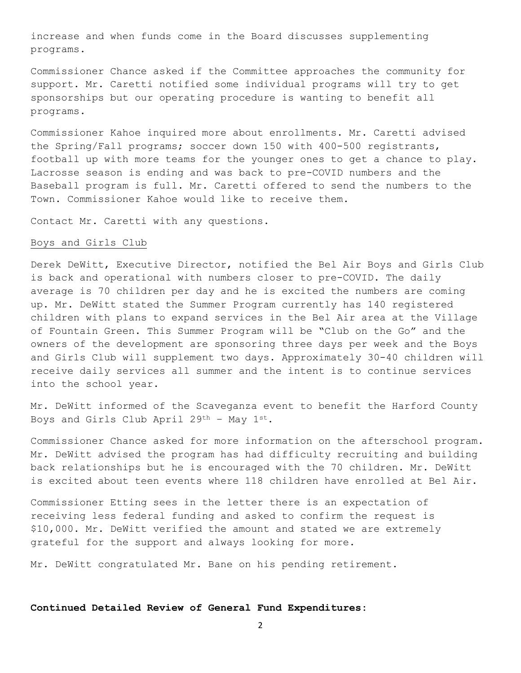increase and when funds come in the Board discusses supplementing programs.

Commissioner Chance asked if the Committee approaches the community for support. Mr. Caretti notified some individual programs will try to get sponsorships but our operating procedure is wanting to benefit all programs.

Commissioner Kahoe inquired more about enrollments. Mr. Caretti advised the Spring/Fall programs; soccer down 150 with 400-500 registrants, football up with more teams for the younger ones to get a chance to play. Lacrosse season is ending and was back to pre-COVID numbers and the Baseball program is full. Mr. Caretti offered to send the numbers to the Town. Commissioner Kahoe would like to receive them.

Contact Mr. Caretti with any questions.

# Boys and Girls Club

Derek DeWitt, Executive Director, notified the Bel Air Boys and Girls Club is back and operational with numbers closer to pre-COVID. The daily average is 70 children per day and he is excited the numbers are coming up. Mr. DeWitt stated the Summer Program currently has 140 registered children with plans to expand services in the Bel Air area at the Village of Fountain Green. This Summer Program will be "Club on the Go" and the owners of the development are sponsoring three days per week and the Boys and Girls Club will supplement two days. Approximately 30-40 children will receive daily services all summer and the intent is to continue services into the school year.

Mr. DeWitt informed of the Scaveganza event to benefit the Harford County Boys and Girls Club April 29<sup>th</sup> - May  $1^{st}$ .

Commissioner Chance asked for more information on the afterschool program. Mr. DeWitt advised the program has had difficulty recruiting and building back relationships but he is encouraged with the 70 children. Mr. DeWitt is excited about teen events where 118 children have enrolled at Bel Air.

Commissioner Etting sees in the letter there is an expectation of receiving less federal funding and asked to confirm the request is \$10,000. Mr. DeWitt verified the amount and stated we are extremely grateful for the support and always looking for more.

Mr. DeWitt congratulated Mr. Bane on his pending retirement.

### **Continued Detailed Review of General Fund Expenditures:**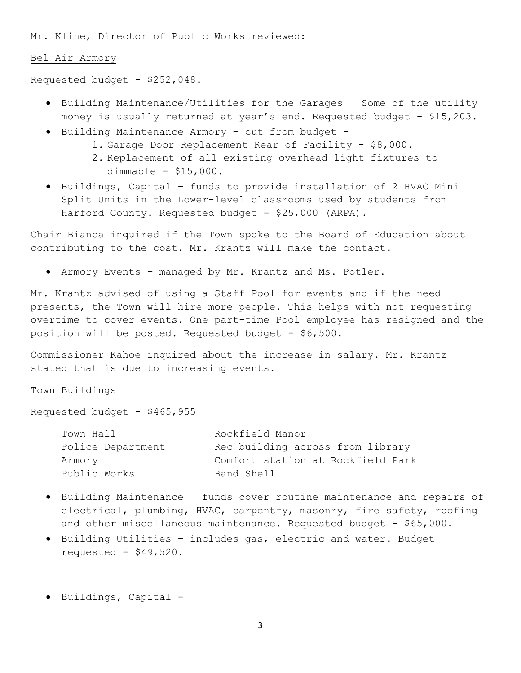Mr. Kline, Director of Public Works reviewed:

### Bel Air Armory

Requested budget - \$252,048.

- Building Maintenance/Utilities for the Garages Some of the utility money is usually returned at year's end. Requested budget - \$15,203.
- Building Maintenance Armory cut from budget
	- 1. Garage Door Replacement Rear of Facility \$8,000.
	- 2. Replacement of all existing overhead light fixtures to dimmable - \$15,000.
- Buildings, Capital funds to provide installation of 2 HVAC Mini Split Units in the Lower-level classrooms used by students from Harford County. Requested budget - \$25,000 (ARPA).

Chair Bianca inquired if the Town spoke to the Board of Education about contributing to the cost. Mr. Krantz will make the contact.

• Armory Events – managed by Mr. Krantz and Ms. Potler.

Mr. Krantz advised of using a Staff Pool for events and if the need presents, the Town will hire more people. This helps with not requesting overtime to cover events. One part-time Pool employee has resigned and the position will be posted. Requested budget - \$6,500.

Commissioner Kahoe inquired about the increase in salary. Mr. Krantz stated that is due to increasing events.

#### Town Buildings

Requested budget -  $$465,955$ 

| Town Hall         | Rockfield Manor                   |
|-------------------|-----------------------------------|
| Police Department | Rec building across from library  |
| Armory            | Comfort station at Rockfield Park |
| Public Works      | Band Shell                        |

- Building Maintenance funds cover routine maintenance and repairs of electrical, plumbing, HVAC, carpentry, masonry, fire safety, roofing and other miscellaneous maintenance. Requested budget - \$65,000.
- Building Utilities includes gas, electric and water. Budget requested -  $$49,520.$
- Buildings, Capital -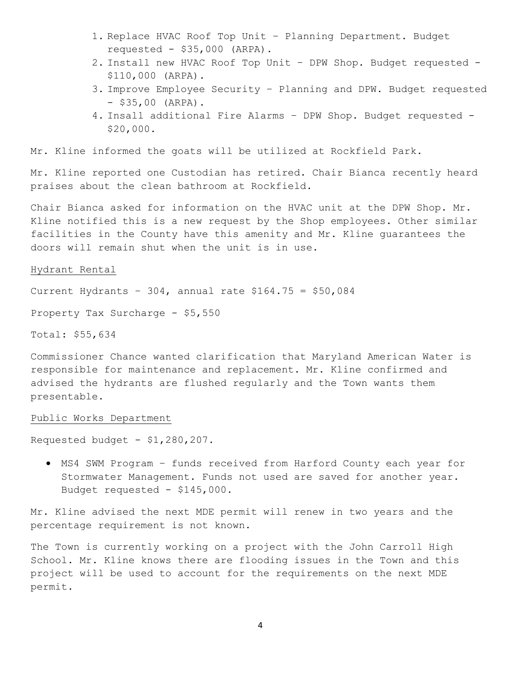- 1. Replace HVAC Roof Top Unit Planning Department. Budget requested -  $$35,000$  (ARPA).
- 2. Install new HVAC Roof Top Unit DPW Shop. Budget requested \$110,000 (ARPA).
- 3. Improve Employee Security Planning and DPW. Budget requested  $-$  \$35,00 (ARPA).
- 4. Insall additional Fire Alarms DPW Shop. Budget requested \$20,000.

Mr. Kline informed the goats will be utilized at Rockfield Park.

Mr. Kline reported one Custodian has retired. Chair Bianca recently heard praises about the clean bathroom at Rockfield.

Chair Bianca asked for information on the HVAC unit at the DPW Shop. Mr. Kline notified this is a new request by the Shop employees. Other similar facilities in the County have this amenity and Mr. Kline guarantees the doors will remain shut when the unit is in use.

#### Hydrant Rental

Current Hydrants - 304, annual rate  $$164.75 = $50,084$ 

Property Tax Surcharge - \$5,550

Total: \$55,634

Commissioner Chance wanted clarification that Maryland American Water is responsible for maintenance and replacement. Mr. Kline confirmed and advised the hydrants are flushed regularly and the Town wants them presentable.

## Public Works Department

Requested budget -  $$1,280,207$ .

• MS4 SWM Program – funds received from Harford County each year for Stormwater Management. Funds not used are saved for another year. Budget requested - \$145,000.

Mr. Kline advised the next MDE permit will renew in two years and the percentage requirement is not known.

The Town is currently working on a project with the John Carroll High School. Mr. Kline knows there are flooding issues in the Town and this project will be used to account for the requirements on the next MDE permit.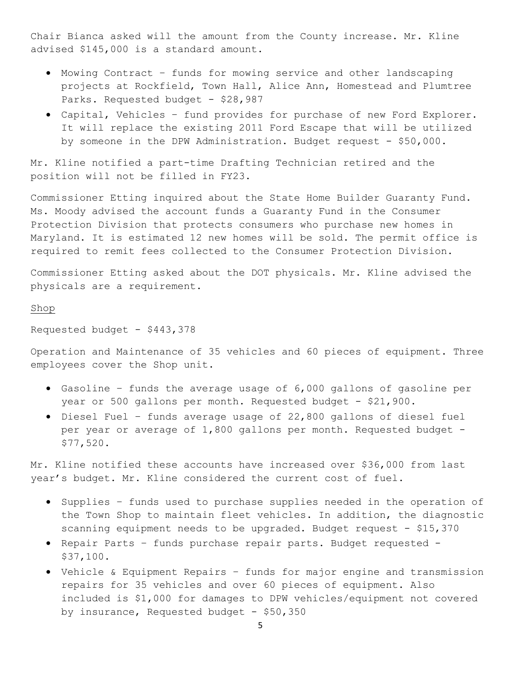Chair Bianca asked will the amount from the County increase. Mr. Kline advised \$145,000 is a standard amount.

- Mowing Contract funds for mowing service and other landscaping projects at Rockfield, Town Hall, Alice Ann, Homestead and Plumtree Parks. Requested budget - \$28,987
- Capital, Vehicles fund provides for purchase of new Ford Explorer. It will replace the existing 2011 Ford Escape that will be utilized by someone in the DPW Administration. Budget request - \$50,000.

Mr. Kline notified a part-time Drafting Technician retired and the position will not be filled in FY23.

Commissioner Etting inquired about the State Home Builder Guaranty Fund. Ms. Moody advised the account funds a Guaranty Fund in the Consumer Protection Division that protects consumers who purchase new homes in Maryland. It is estimated 12 new homes will be sold. The permit office is required to remit fees collected to the Consumer Protection Division.

Commissioner Etting asked about the DOT physicals. Mr. Kline advised the physicals are a requirement.

## Shop

Requested budget - \$443,378

Operation and Maintenance of 35 vehicles and 60 pieces of equipment. Three employees cover the Shop unit.

- Gasoline funds the average usage of 6,000 gallons of gasoline per year or 500 gallons per month. Requested budget - \$21,900.
- Diesel Fuel funds average usage of 22,800 gallons of diesel fuel per year or average of 1,800 gallons per month. Requested budget -\$77,520.

Mr. Kline notified these accounts have increased over \$36,000 from last year's budget. Mr. Kline considered the current cost of fuel.

- Supplies funds used to purchase supplies needed in the operation of the Town Shop to maintain fleet vehicles. In addition, the diagnostic scanning equipment needs to be upgraded. Budget request - \$15,370
- Repair Parts funds purchase repair parts. Budget requested \$37,100.
- Vehicle & Equipment Repairs funds for major engine and transmission repairs for 35 vehicles and over 60 pieces of equipment. Also included is \$1,000 for damages to DPW vehicles/equipment not covered by insurance, Requested budget -  $$50,350$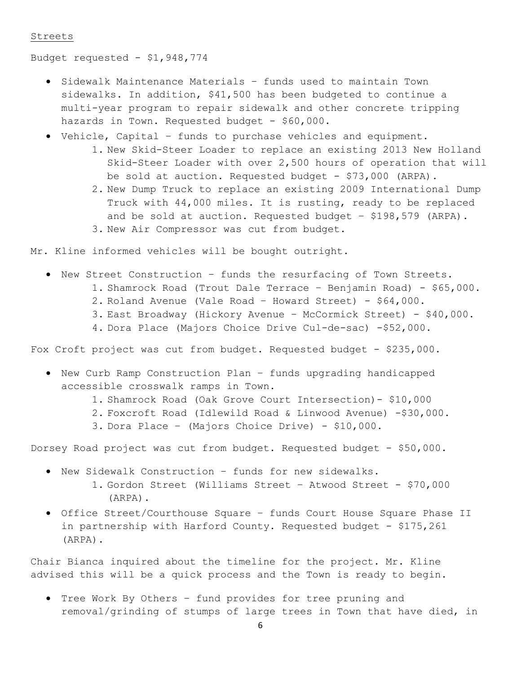### Streets

Budget requested - \$1,948,774

- Sidewalk Maintenance Materials funds used to maintain Town sidewalks. In addition, \$41,500 has been budgeted to continue a multi-year program to repair sidewalk and other concrete tripping hazards in Town. Requested budget - \$60,000.
- Vehicle, Capital funds to purchase vehicles and equipment.
	- 1. New Skid-Steer Loader to replace an existing 2013 New Holland Skid-Steer Loader with over 2,500 hours of operation that will be sold at auction. Requested budget - \$73,000 (ARPA).
	- 2. New Dump Truck to replace an existing 2009 International Dump Truck with 44,000 miles. It is rusting, ready to be replaced and be sold at auction. Requested budget – \$198,579 (ARPA). 3. New Air Compressor was cut from budget.

Mr. Kline informed vehicles will be bought outright.

- New Street Construction funds the resurfacing of Town Streets. 1. Shamrock Road (Trout Dale Terrace – Benjamin Road) - \$65,000.
	- 2. Roland Avenue (Vale Road Howard Street) \$64,000.
	- 3. East Broadway (Hickory Avenue McCormick Street) \$40,000.
	- 4. Dora Place (Majors Choice Drive Cul-de-sac) -\$52,000.

Fox Croft project was cut from budget. Requested budget - \$235,000.

- New Curb Ramp Construction Plan funds upgrading handicapped accessible crosswalk ramps in Town.
	- 1. Shamrock Road (Oak Grove Court Intersection)- \$10,000
	- 2. Foxcroft Road (Idlewild Road & Linwood Avenue) -\$30,000.
	- 3. Dora Place (Majors Choice Drive) \$10,000.

Dorsey Road project was cut from budget. Requested budget - \$50,000.

- New Sidewalk Construction funds for new sidewalks. 1. Gordon Street (Williams Street – Atwood Street - \$70,000 (ARPA).
- Office Street/Courthouse Square funds Court House Square Phase II in partnership with Harford County. Requested budget -  $$175,261$ (ARPA).

Chair Bianca inquired about the timeline for the project. Mr. Kline advised this will be a quick process and the Town is ready to begin.

• Tree Work By Others – fund provides for tree pruning and removal/grinding of stumps of large trees in Town that have died, in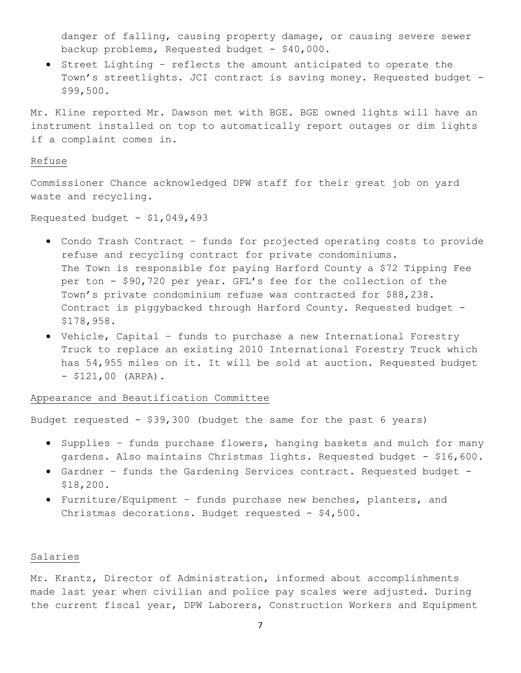danger of falling, causing property damage, or causing severe sewer backup problems, Requested budget - \$40,000.

• Street Lighting – reflects the amount anticipated to operate the Town's streetlights. JCI contract is saving money. Requested budget - \$99,500.

Mr. Kline reported Mr. Dawson met with BGE. BGE owned lights will have an instrument installed on top to automatically report outages or dim lights if a complaint comes in.

### Refuse

Commissioner Chance acknowledged DPW staff for their great job on yard waste and recycling.

Requested budget -  $$1,049,493$ 

- Condo Trash Contract funds for projected operating costs to provide refuse and recycling contract for private condominiums. The Town is responsible for paying Harford County a \$72 Tipping Fee per ton - \$90,720 per year. GFL's fee for the collection of the Town's private condominium refuse was contracted for \$88,238. Contract is piggybacked through Harford County. Requested budget - \$178,958.
- Vehicle, Capital funds to purchase a new International Forestry Truck to replace an existing 2010 International Forestry Truck which has 54,955 miles on it. It will be sold at auction. Requested budget  $-$  \$121,00 (ARPA).

Appearance and Beautification Committee

Budget requested - \$39,300 (budget the same for the past 6 years)

- Supplies funds purchase flowers, hanging baskets and mulch for many gardens. Also maintains Christmas lights. Requested budget - \$16,600.
- Gardner funds the Gardening Services contract. Requested budget \$18,200.
- Furniture/Equipment funds purchase new benches, planters, and Christmas decorations. Budget requested - \$4,500.

## Salaries

Mr. Krantz, Director of Administration, informed about accomplishments made last year when civilian and police pay scales were adjusted. During the current fiscal year, DPW Laborers, Construction Workers and Equipment